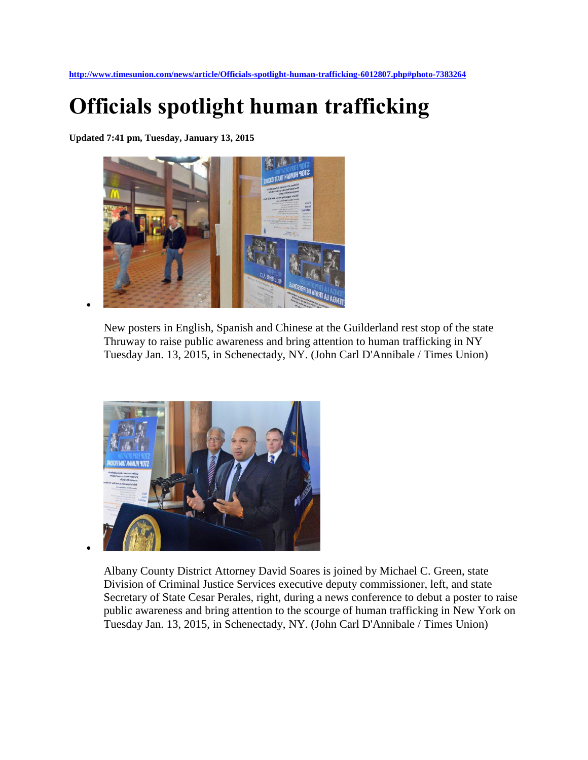**<http://www.timesunion.com/news/article/Officials-spotlight-human-trafficking-6012807.php#photo-7383264>**

## **Officials spotlight human trafficking**

**Updated 7:41 pm, Tuesday, January 13, 2015** 



New posters in English, Spanish and Chinese at the Guilderland rest stop of the state Thruway to raise public awareness and bring attention to human trafficking in NY Tuesday Jan. 13, 2015, in Schenectady, NY. (John Carl D'Annibale / Times Union)



Albany County District Attorney David Soares is joined by Michael C. Green, state Division of Criminal Justice Services executive deputy commissioner, left, and state Secretary of State Cesar Perales, right, during a news conference to debut a poster to raise public awareness and bring attention to the scourge of human trafficking in New York on Tuesday Jan. 13, 2015, in Schenectady, NY. (John Carl D'Annibale / Times Union)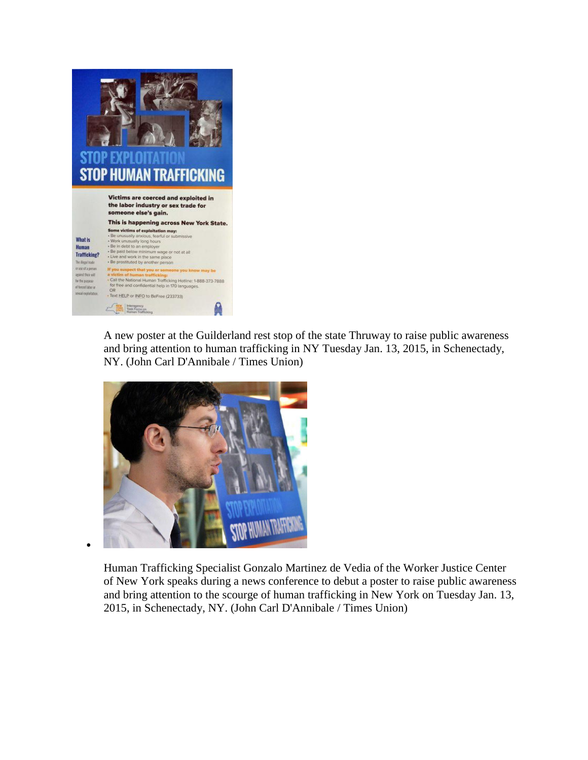

A new poster at the Guilderland rest stop of the state Thruway to raise public awareness and bring attention to human trafficking in NY Tuesday Jan. 13, 2015, in Schenectady, NY. (John Carl D'Annibale / Times Union)



Human Trafficking Specialist Gonzalo Martinez de Vedia of the Worker Justice Center of New York speaks during a news conference to debut a poster to raise public awareness and bring attention to the scourge of human trafficking in New York on Tuesday Jan. 13, 2015, in Schenectady, NY. (John Carl D'Annibale / Times Union)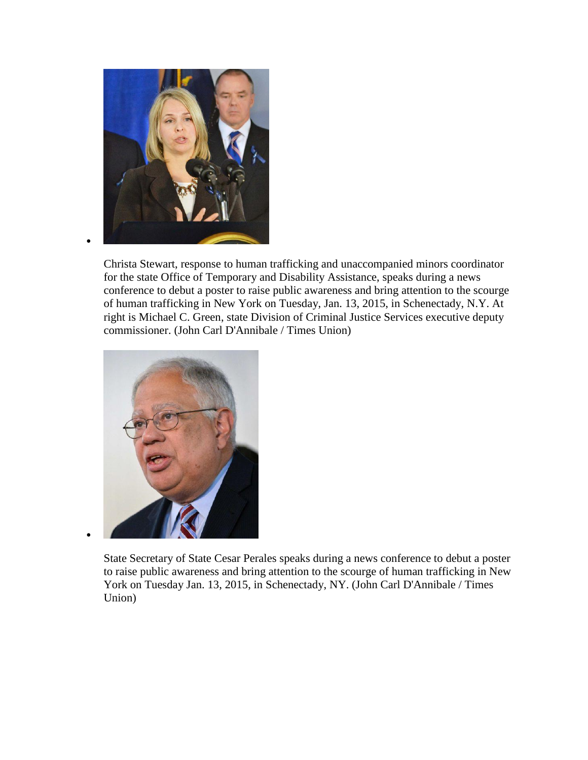

 $\bullet$ 

 $\bullet$ 

Christa Stewart, response to human trafficking and unaccompanied minors coordinator for the state Office of Temporary and Disability Assistance, speaks during a news conference to debut a poster to raise public awareness and bring attention to the scourge of human trafficking in New York on Tuesday, Jan. 13, 2015, in Schenectady, N.Y. At right is Michael C. Green, state Division of Criminal Justice Services executive deputy commissioner. (John Carl D'Annibale / Times Union)



State Secretary of State Cesar Perales speaks during a news conference to debut a poster to raise public awareness and bring attention to the scourge of human trafficking in New York on Tuesday Jan. 13, 2015, in Schenectady, NY. (John Carl D'Annibale / Times Union)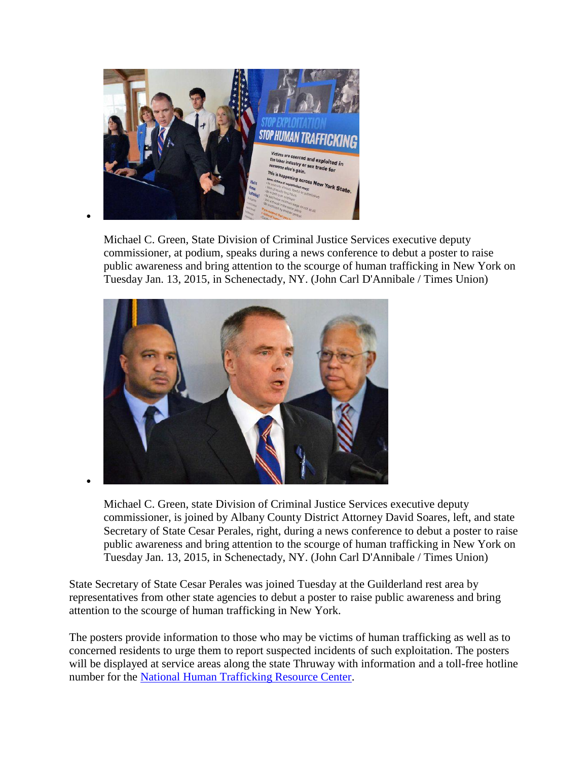

Michael C. Green, State Division of Criminal Justice Services executive deputy commissioner, at podium, speaks during a news conference to debut a poster to raise public awareness and bring attention to the scourge of human trafficking in New York on Tuesday Jan. 13, 2015, in Schenectady, NY. (John Carl D'Annibale / Times Union)



Michael C. Green, state Division of Criminal Justice Services executive deputy commissioner, is joined by Albany County District Attorney David Soares, left, and state Secretary of State Cesar Perales, right, during a news conference to debut a poster to raise public awareness and bring attention to the scourge of human trafficking in New York on Tuesday Jan. 13, 2015, in Schenectady, NY. (John Carl D'Annibale / Times Union)

State Secretary of State Cesar Perales was joined Tuesday at the Guilderland rest area by representatives from other state agencies to debut a poster to raise public awareness and bring attention to the scourge of human trafficking in New York.

The posters provide information to those who may be victims of human trafficking as well as to concerned residents to urge them to report suspected incidents of such exploitation. The posters will be displayed at service areas along the state Thruway with information and a toll-free hotline number for the [National Human Trafficking Resource Center.](http://www.timesunion.com/search/?action=search&channel=news&inlineLink=1&searchindex=gsa&query=%22National+Human+Trafficking+Resource+Center%22)